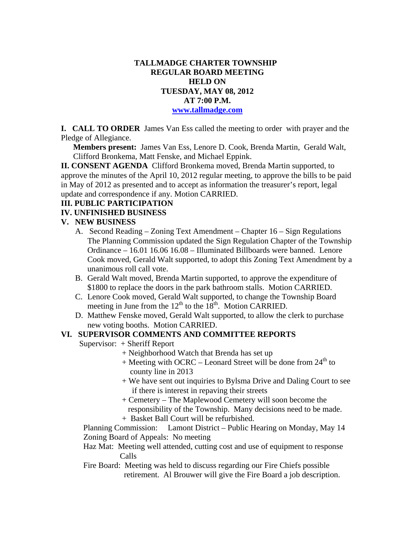## **TALLMADGE CHARTER TOWNSHIP REGULAR BOARD MEETING HELD ON TUESDAY, MAY 08, 2012 AT 7:00 P.M. www.tallmadge.com**

**I. CALL TO ORDER** James Van Ess called the meeting to order with prayer and the Pledge of Allegiance.

**Members present:** James Van Ess, Lenore D. Cook, Brenda Martin, Gerald Walt, Clifford Bronkema, Matt Fenske, and Michael Eppink.

**II. CONSENT AGENDA** Clifford Bronkema moved, Brenda Martin supported, to approve the minutes of the April 10, 2012 regular meeting, to approve the bills to be paid in May of 2012 as presented and to accept as information the treasurer's report, legal update and correspondence if any. Motion CARRIED.

#### **III. PUBLIC PARTICIPATION**

## **IV. UNFINISHED BUSINESS**

## **V. NEW BUSINESS**

- A. Second Reading Zoning Text Amendment Chapter 16 Sign Regulations The Planning Commission updated the Sign Regulation Chapter of the Township Ordinance – 16.01 16.06 16.08 – Illuminated Billboards were banned. Lenore Cook moved, Gerald Walt supported, to adopt this Zoning Text Amendment by a unanimous roll call vote.
- B. Gerald Walt moved, Brenda Martin supported, to approve the expenditure of \$1800 to replace the doors in the park bathroom stalls. Motion CARRIED.
- C. Lenore Cook moved, Gerald Walt supported, to change the Township Board meeting in June from the  $12^{th}$  to the  $18^{th}$ . Motion CARRIED.
- D. Matthew Fenske moved, Gerald Walt supported, to allow the clerk to purchase new voting booths. Motion CARRIED.

#### **VI. SUPERVISOR COMMENTS AND COMMITTEE REPORTS**

Supervisor: + Sheriff Report

- + Neighborhood Watch that Brenda has set up
- $+$  Meeting with OCRC Leonard Street will be done from  $24<sup>th</sup>$  to county line in 2013
- + We have sent out inquiries to Bylsma Drive and Daling Court to see if there is interest in repaving their streets
- + Cemetery The Maplewood Cemetery will soon become the responsibility of the Township. Many decisions need to be made.
- + Basket Ball Court will be refurbished.

 Planning Commission: Lamont District – Public Hearing on Monday, May 14 Zoning Board of Appeals: No meeting

#### Haz Mat: Meeting well attended, cutting cost and use of equipment to response Calls

 Fire Board: Meeting was held to discuss regarding our Fire Chiefs possible retirement. Al Brouwer will give the Fire Board a job description.